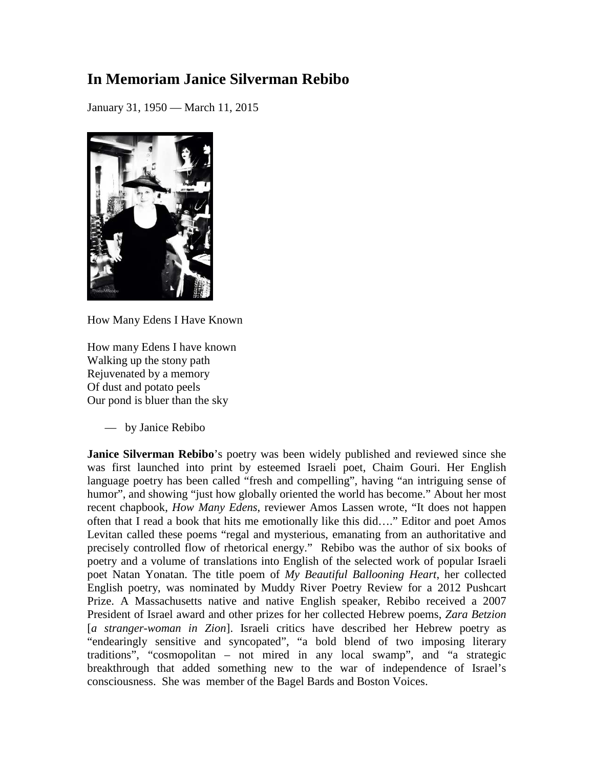## **In Memoriam Janice Silverman Rebibo**

January 31, 1950 — March 11, 2015



How Many Edens I Have Known

How many Edens I have known Walking up the stony path Rejuvenated by a memory Of dust and potato peels Our pond is bluer than the sky

— by Janice Rebibo

**Janice Silverman Rebibo**'s poetry was been widely published and reviewed since she was first launched into print by esteemed Israeli poet, Chaim Gouri. Her English language poetry has been called "fresh and compelling", having "an intriguing sense of humor", and showing "just how globally oriented the world has become." About her most recent chapbook, *How Many Edens*, reviewer Amos Lassen wrote, "It does not happen often that I read a book that hits me emotionally like this did…." Editor and poet Amos Levitan called these poems "regal and mysterious, emanating from an authoritative and precisely controlled flow of rhetorical energy." Rebibo was the author of six books of poetry and a volume of translations into English of the selected work of popular Israeli poet Natan Yonatan. The title poem of *My Beautiful Ballooning Heart*, her collected English poetry, was nominated by Muddy River Poetry Review for a 2012 Pushcart Prize. A Massachusetts native and native English speaker, Rebibo received a 2007 President of Israel award and other prizes for her collected Hebrew poems, *Zara Betzion* [*a stranger-woman in Zion*]. Israeli critics have described her Hebrew poetry as "endearingly sensitive and syncopated", "a bold blend of two imposing literary traditions", "cosmopolitan – not mired in any local swamp", and "a strategic breakthrough that added something new to the war of independence of Israel's consciousness. She was member of the Bagel Bards and Boston Voices.